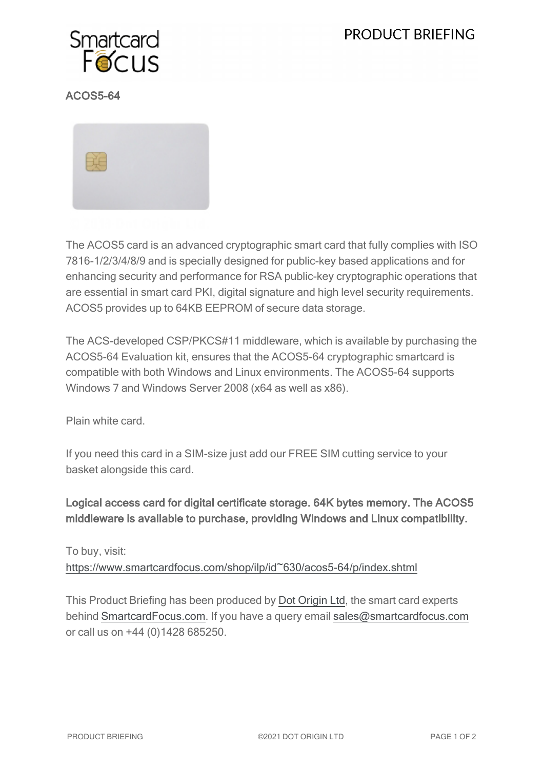# PRODUCT BRIEFING



## ACOS5-64



The ACOS5 card is an advanced cryptographic smart card that fully complies with ISO 7816-1/2/3/4/8/9 and is specially designed for public-key based applications and for enhancing security and performance for RSA public-key cryptographic operations that are essential in smart card PKI, digital signature and high level security requirements. ACOS5 provides up to 64KB EEPROM of secure data storage.

The ACS-developed CSP/PKCS#11 middleware, which is available by purchasing the ACOS5-64 Evaluation kit, ensures that the ACOS5-64 cryptographic smartcard is compatible with both Windows and Linux environments. The ACOS5-64 supports Windows 7 and Windows Server 2008 (x64 as well as x86).

Plain white card.

If you need this card in a SIM-size just add our FREE SIM cutting service to your basket alongside this card.

Logical access card for digital certificate storage. 64K bytes memory. The ACOS5 middleware is available to purchase, providing Windows and Linux compatibility.

To buy, visit:

[https://www.smartcardfocus.com/shop/ilp/id~630/acos5-64/p/index.shtml](https://www.smartcardfocus.com/shop/ilp/id~630/acos5-64/p/index.shtml?utm_source=download&utm_medium=pdf&utm_campaign=scf-product-pdf)

This Product Briefing has been produced by Dot [Origin](https://www.dotorigin.com/) Ltd, the smart card experts behind [SmartcardFocus.com.](https://www.smartcardfocus.com/?utm_source=download&utm_medium=pdf&utm_campaign=scf-product-pdf) If you have a query email [sales@smartcardfocus.com](mailto:sales@smartcardfocus.com?subject=Product Briefing query) or call us on +44 (0)1428 685250.